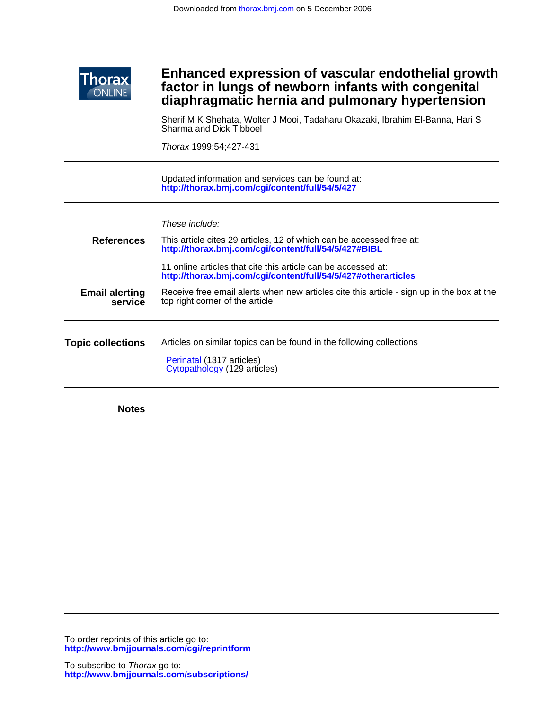

## **diaphragmatic hernia and pulmonary hypertension factor in lungs of newborn infants with congenital Enhanced expression of vascular endothelial growth**

Sharma and Dick Tibboel Sherif M K Shehata, Wolter J Mooi, Tadaharu Okazaki, Ibrahim El-Banna, Hari S

Thorax 1999;54;427-431

**<http://thorax.bmj.com/cgi/content/full/54/5/427>** Updated information and services can be found at:

These include:

| <b>References</b>                | This article cites 29 articles, 12 of which can be accessed free at:<br>http://thorax.bmj.com/cgi/content/full/54/5/427#BIBL   |  |  |
|----------------------------------|--------------------------------------------------------------------------------------------------------------------------------|--|--|
|                                  | 11 online articles that cite this article can be accessed at:<br>http://thorax.bmj.com/cgi/content/full/54/5/427#otherarticles |  |  |
| <b>Email alerting</b><br>service | Receive free email alerts when new articles cite this article - sign up in the box at the<br>top right corner of the article   |  |  |
| <b>Topic collections</b>         | Articles on similar topics can be found in the following collections<br>Perinatal (1317 articles)                              |  |  |
|                                  | Cytopathology (129 articles)                                                                                                   |  |  |

**Notes**

**<http://www.bmjjournals.com/cgi/reprintform>** To order reprints of this article go to: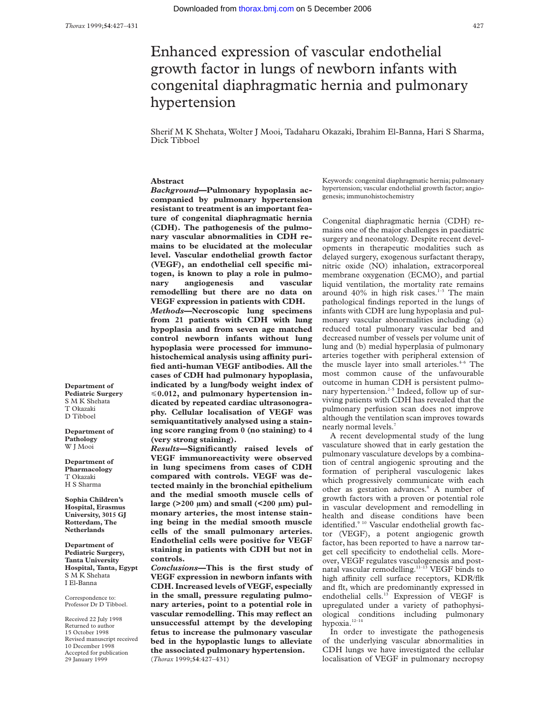# Enhanced expression of vascular endothelial growth factor in lungs of newborn infants with congenital diaphragmatic hernia and pulmonary hypertension

Sherif M K Shehata, Wolter J Mooi, Tadaharu Okazaki, Ibrahim El-Banna, Hari S Sharma, Dick Tibboel

## **Abstract**

*Background***—Pulmonary hypoplasia accompanied by pulmonary hypertension resistant to treatment is an important feature of congenital diaphragmatic hernia (CDH). The pathogenesis of the pulmonary vascular abnormalities in CDH remains to be elucidated at the molecular level. Vascular endothelial growth factor (VEGF), an endothelial cell specific mitogen, is known to play a role in pulmonary angiogenesis and vascular remodelling but there are no data on VEGF expression in patients with CDH.** *Methods***—Necroscopic lung specimens from 21 patients with CDH with lung hypoplasia and from seven age matched control newborn infants without lung hypoplasia were processed for immuno**histochemical analysis using affinity puri**fied anti-human VEGF antibodies. All the cases of CDH had pulmonary hypoplasia, indicated by a lung/body weight index of** <**0.012, and pulmonary hypertension indicated by repeated cardiac ultrasonography. Cellular localisation of VEGF was semiquantitatively analysed using a staining score ranging from 0 (no staining) to 4 (very strong staining).**

*Results***—Significantly raised levels of VEGF immunoreactivity were observed in lung specimens from cases of CDH compared with controls. VEGF was detected mainly in the bronchial epithelium and the medial smooth muscle cells of large (>200 µm) and small (<200 µm) pulmonary arteries, the most intense staining being in the medial smooth muscle cells of the small pulmonary arteries. Endothelial cells were positive for VEGF staining in patients with CDH but not in controls.**

*Conclusions***—This is the first study of VEGF expression in newborn infants with CDH. Increased levels of VEGF, especially in the small, pressure regulating pulmonary arteries, point to a potential role in vascular remodelling. This may reflect an unsuccessful attempt by the developing fetus to increase the pulmonary vascular bed in the hypoplastic lungs to alleviate the associated pulmonary hypertension.** (*Thorax* 1999;**54**:427–431)

Keywords: congenital diaphragmatic hernia; pulmonary hypertension; vascular endothelial growth factor; angiogenesis; immunohistochemistry

Congenital diaphragmatic hernia (CDH) remains one of the major challenges in paediatric surgery and neonatology. Despite recent developments in therapeutic modalities such as delayed surgery, exogenous surfactant therapy, nitric oxide (NO) inhalation, extracorporeal membrane oxygenation (ECMO), and partial liquid ventilation, the mortality rate remains around  $40\%$  in high risk cases.<sup>1-3</sup> The main pathological findings reported in the lungs of infants with CDH are lung hypoplasia and pulmonary vascular abnormalities including (a) reduced total pulmonary vascular bed and decreased number of vessels per volume unit of lung and (b) medial hyperplasia of pulmonary arteries together with peripheral extension of the muscle layer into small arterioles. $4-6$  The most common cause of the unfavourable outcome in human CDH is persistent pulmonary hypertension.<sup> $2-5$ </sup> Indeed, follow up of surviving patients with CDH has revealed that the pulmonary perfusion scan does not improve although the ventilation scan improves towards nearly normal levels.<sup>7</sup>

A recent developmental study of the lung vasculature showed that in early gestation the pulmonary vasculature develops by a combination of central angiogenic sprouting and the formation of peripheral vasculogenic lakes which progressively communicate with each other as gestation advances.<sup>8</sup> A number of growth factors with a proven or potential role in vascular development and remodelling in health and disease conditions have been identified.<sup>9 10</sup> Vascular endothelial growth factor (VEGF), a potent angiogenic growth factor, has been reported to have a narrow target cell specificity to endothelial cells. Moreover, VEGF regulates vasculogenesis and postnatal vascular remodelling.11–13 VEGF binds to high affinity cell surface receptors, KDR/flk and flt, which are predominantly expressed in endothelial cells.<sup>13</sup> Expression of VEGF is upregulated under a variety of pathophysiological conditions including pulmonary hypoxia.12–14

In order to investigate the pathogenesis of the underlying vascular abnormalities in CDH lungs we have investigated the cellular localisation of VEGF in pulmonary necropsy

**Department of Pediatric Surgery** S M K Shehata T Okazaki D Tibboel

**Department of Pathology** W J Mooi

**Department of Pharmacology** T Okazaki H S Sharma

**Sophia Children's Hospital, Erasmus University, 3015 GJ Rotterdam, The Netherlands**

**Department of Pediatric Surgery, Tanta University Hospital, Tanta, Egypt** S M K Shehata I El-Banna

Correspondence to: Professor Dr D Tibboel.

Received 22 July 1998 Returned to author 15 October 1998 Revised manuscript received 10 December 1998 Accepted for publication 29 January 1999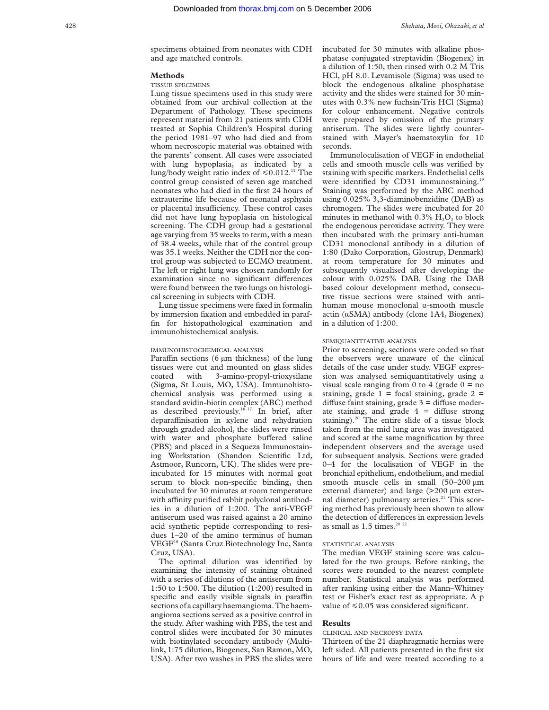specimens obtained from neonates with CDH and age matched controls.

#### **Methods**

#### TISSUE SPECIMENS

Lung tissue specimens used in this study were obtained from our archival collection at the Department of Pathology. These specimens represent material from 21 patients with CDH treated at Sophia Children's Hospital during the period 1981–97 who had died and from whom necroscopic material was obtained with the parents' consent. All cases were associated with lung hypoplasia, as indicated by a lung/body weight ratio index of  $\leq 0.012$ .<sup>15</sup> The control group consisted of seven age matched neonates who had died in the first 24 hours of extrauterine life because of neonatal asphyxia or placental insufficiency. These control cases did not have lung hypoplasia on histological screening. The CDH group had a gestational age varying from 35 weeks to term, with a mean of 38.4 weeks, while that of the control group was 35.1 weeks. Neither the CDH nor the control group was subjected to ECMO treatment. The left or right lung was chosen randomly for examination since no significant differences were found between the two lungs on histological screening in subjects with CDH.

Lung tissue specimens were fixed in formalin by immersion fixation and embedded in paraffin for histopathological examination and immunohistochemical analysis.

#### IMMUNOHISTOCHEMICAL ANALYSIS

Paraffin sections (6  $\mu$ m thickness) of the lung tissues were cut and mounted on glass slides coated with 3-amino-propyl-trioxysilane (Sigma, St Louis, MO, USA). Immunohistochemical analysis was performed using a standard avidin-biotin complex (ABC) method as described previously.<sup>16 17</sup> In brief, after deparaffinisation in xylene and rehydration through graded alcohol, the slides were rinsed with water and phosphate buffered saline (PBS) and placed in a Sequeza Immunostaining Workstation (Shandon Scientific Ltd, Astmoor, Runcorn, UK). The slides were preincubated for 15 minutes with normal goat serum to block non-specific binding, then incubated for 30 minutes at room temperature with affinity purified rabbit polyclonal antibodies in a dilution of 1:200. The anti-VEGF antiserum used was raised against a 20 amino acid synthetic peptide corresponding to residues 1–20 of the amino terminus of human VEGF18 (Santa Cruz Biotechnology Inc, Santa Cruz, USA).

The optimal dilution was identified by examining the intensity of staining obtained with a series of dilutions of the antiserum from 1:50 to 1:500. The dilution (1:200) resulted in specific and easily visible signals in paraffin sections of a capillary haemangioma.The haemangioma sections served as a positive control in the study. After washing with PBS, the test and control slides were incubated for 30 minutes with biotinylated secondary antibody (Multilink, 1:75 dilution, Biogenex, San Ramon, MO, USA). After two washes in PBS the slides were

incubated for 30 minutes with alkaline phosphatase conjugated streptavidin (Biogenex) in a dilution of 1:50, then rinsed with 0.2 M Tris HCl, pH 8.0. Levamisole (Sigma) was used to block the endogenous alkaline phosphatase activity and the slides were stained for 30 minutes with 0.3% new fuchsin/Tris HCl (Sigma) for colour enhancement. Negative controls were prepared by omission of the primary antiserum. The slides were lightly counterstained with Mayer's haematoxylin for 10 seconds.

Immunolocalisation of VEGF in endothelial cells and smooth muscle cells was verified by staining with specific markers. Endothelial cells were identified by CD31 immunostaining.<sup>19</sup> Staining was performed by the ABC method using 0.025% 3,3-diaminobenzidine (DAB) as chromogen. The slides were incubated for 20 minutes in methanol with  $0.3\%$  H<sub>2</sub>O<sub>2</sub> to block the endogenous peroxidase activity. They were then incubated with the primary anti-human CD31 monoclonal antibody in a dilution of 1:80 (Dako Corporation, Glostrup, Denmark) at room temperature for 30 minutes and subsequently visualised after developing the colour with 0.025% DAB. Using the DAB based colour development method, consecutive tissue sections were stained with antihuman mouse monoclonal  $\alpha$ -smooth muscle actin  $(\alpha SMA)$  antibody (clone 1A4, Biogenex) in a dilution of 1:200.

#### SEMIQUANTITATIVE ANALYSIS

Prior to screening, sections were coded so that the observers were unaware of the clinical details of the case under study. VEGF expression was analysed semiquantitatively using a visual scale ranging from 0 to 4 (grade  $0 = no$ staining, grade  $1 =$  focal staining, grade  $2 =$ diffuse faint staining, grade  $3 =$  diffuse moderate staining, and grade  $4 =$  diffuse strong staining).<sup>20</sup> The entire slide of a tissue block taken from the mid lung area was investigated and scored at the same magnification by three independent observers and the average used for subsequent analysis. Sections were graded 0–4 for the localisation of VEGF in the bronchial epithelium, endothelium, and medial smooth muscle cells in small  $(50-200 \text{ }\mu\text{m})$ external diameter) and large (>200 µm external diameter) pulmonary arteries.<sup>21</sup> This scoring method has previously been shown to allow the detection of differences in expression levels as small as  $1.5$  times.<sup>20 22</sup>

#### STATISTICAL ANALYSIS

The median VEGF staining score was calculated for the two groups. Before ranking, the scores were rounded to the nearest complete number. Statistical analysis was performed after ranking using either the Mann–Whitney test or Fisher's exact test as appropriate. A p value of  $\leq 0.05$  was considered significant.

#### **Results**

## CLINICAL AND NECROPSY DATA

Thirteen of the 21 diaphragmatic hernias were left sided. All patients presented in the first six hours of life and were treated according to a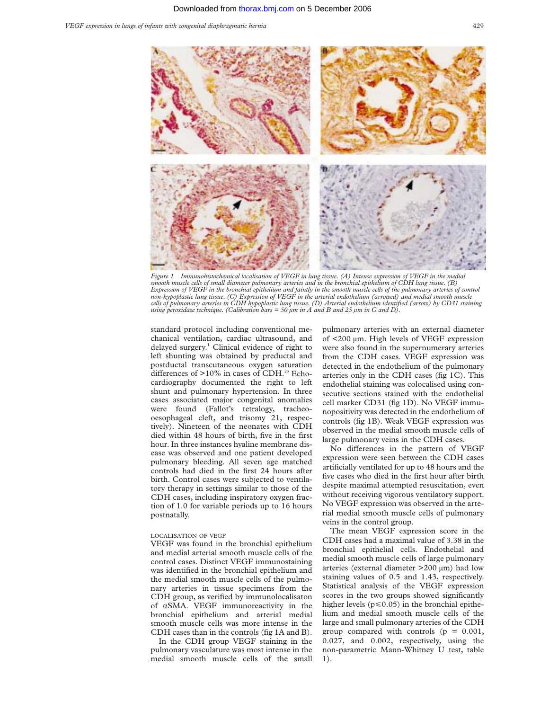

*Figure 1 Immunohistochemical localisation of VEGF in lung tissue. (A) Intense expression of VEGF in the medial smooth muscle cells of small diameter pulmonary arteries and in the bronchial epithelium of CDH lung tissue. (B)* Expression of VEGF in the bronchial epithelium and faintly in the smooth muscle cells of the pulmonary arteries of control<br>non-hypoplastic lung tissue. (C) Expression of VEGF in the arterial endothelium (arrowed) and media *cells of pulmonary arteries in CDH hypoplastic lung tissue. (D) Arterial endothelium identified (arrow) by CD31 staining using peroxidase technique. (Calibration bars = 50 µm in A and B and 25 µm in C and D).*

standard protocol including conventional mechanical ventilation, cardiac ultrasound, and delayed surgery.1 Clinical evidence of right to left shunting was obtained by preductal and postductal transcutaneous oxygen saturation differences of  $>10\%$  in cases of CDH.<sup>23</sup> Echocardiography documented the right to left shunt and pulmonary hypertension. In three cases associated major congenital anomalies were found (Fallot's tetralogy, tracheooesophageal cleft, and trisomy 21, respectively). Nineteen of the neonates with CDH died within 48 hours of birth, five in the first hour. In three instances hyaline membrane disease was observed and one patient developed pulmonary bleeding. All seven age matched controls had died in the first 24 hours after birth. Control cases were subjected to ventilatory therapy in settings similar to those of the CDH cases, including inspiratory oxygen fraction of 1.0 for variable periods up to 16 hours postnatally.

#### LOCALISATION OF VEGF

VEGF was found in the bronchial epithelium and medial arterial smooth muscle cells of the control cases. Distinct VEGF immunostaining was identified in the bronchial epithelium and the medial smooth muscle cells of the pulmonary arteries in tissue specimens from the CDH group, as verified by immunolocalisaton of áSMA. VEGF immunoreactivity in the bronchial epithelium and arterial medial smooth muscle cells was more intense in the CDH cases than in the controls (fig 1A and B).

In the CDH group VEGF staining in the pulmonary vasculature was most intense in the medial smooth muscle cells of the small pulmonary arteries with an external diameter of <200 µm. High levels of VEGF expression were also found in the supernumerary arteries from the CDH cases. VEGF expression was detected in the endothelium of the pulmonary arteries only in the CDH cases (fig 1C). This endothelial staining was colocalised using consecutive sections stained with the endothelial cell marker CD31 (fig 1D). No VEGF immunopositivity was detected in the endothelium of controls (fig 1B). Weak VEGF expression was observed in the medial smooth muscle cells of large pulmonary veins in the CDH cases.

No differences in the pattern of VEGF expression were seen between the CDH cases artificially ventilated for up to 48 hours and the five cases who died in the first hour after birth despite maximal attempted resuscitation, even without receiving vigorous ventilatory support. No VEGF expression was observed in the arterial medial smooth muscle cells of pulmonary veins in the control group.

The mean VEGF expression score in the CDH cases had a maximal value of 3.38 in the bronchial epithelial cells. Endothelial and medial smooth muscle cells of large pulmonary arteries (external diameter >200 µm) had low staining values of 0.5 and 1.43, respectively. Statistical analysis of the VEGF expression scores in the two groups showed significantly higher levels ( $p \le 0.05$ ) in the bronchial epithelium and medial smooth muscle cells of the large and small pulmonary arteries of the CDH group compared with controls  $(p = 0.001,$ 0.027, and 0.002, respectively, using the non-parametric Mann-Whitney U test, table 1).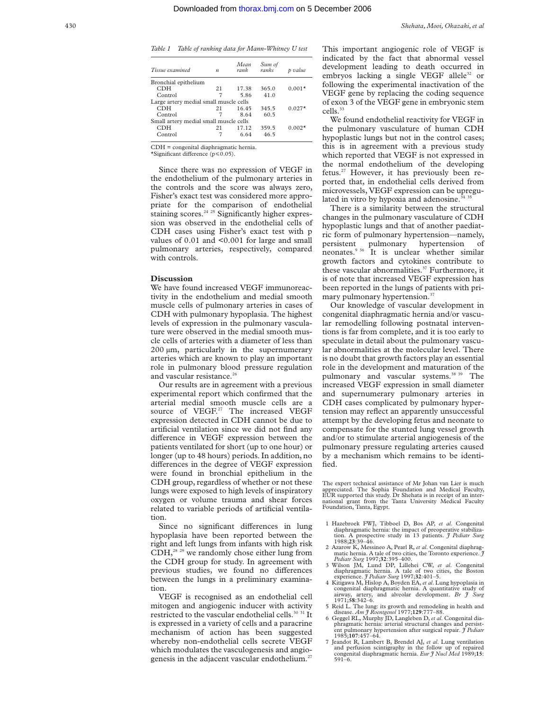| n                                      | Mean<br>rank | Sum of<br>ranks | p value  |  |
|----------------------------------------|--------------|-----------------|----------|--|
| Bronchial epithelium                   |              |                 |          |  |
| 21                                     | 17.38        | 365.0           | $0.001*$ |  |
| 7                                      | 5.86         | 41.0            |          |  |
| Large artery medial small muscle cells |              |                 |          |  |
| 21                                     | 16.45        | 345.5           | $0.027*$ |  |
|                                        | 8.64         | 60.5            |          |  |
| Small artery medial small muscle cells |              |                 |          |  |
| 21                                     | 17 12        | 359.5           | $0.002*$ |  |
|                                        | 6.64         | 465             |          |  |
|                                        |              |                 |          |  |

CDH = congenital diaphragmatic hernia.

\*Significant difference  $(p \le 0.05)$ .

Since there was no expression of VEGF in the endothelium of the pulmonary arteries in the controls and the score was always zero, Fisher's exact test was considered more appropriate for the comparison of endothelial staining scores.<sup>24 25</sup> Significantly higher expression was observed in the endothelial cells of CDH cases using Fisher's exact test with p values of 0.01 and <0.001 for large and small pulmonary arteries, respectively, compared with controls.

#### **Discussion**

We have found increased VEGF immunoreactivity in the endothelium and medial smooth muscle cells of pulmonary arteries in cases of CDH with pulmonary hypoplasia. The highest levels of expression in the pulmonary vasculature were observed in the medial smooth muscle cells of arteries with a diameter of less than 200 µm, particularly in the supernumerary arteries which are known to play an important role in pulmonary blood pressure regulation and vascular resistance.<sup>26</sup>

Our results are in agreement with a previous experimental report which confirmed that the arterial medial smooth muscle cells are a source of VEGF.<sup>27</sup> The increased VEGF expression detected in CDH cannot be due to artificial ventilation since we did not find any difference in VEGF expression between the patients ventilated for short (up to one hour) or longer (up to 48 hours) periods. In addition, no differences in the degree of VEGF expression were found in bronchial epithelium in the CDH group, regardless of whether or not these lungs were exposed to high levels of inspiratory oxygen or volume trauma and shear forces related to variable periods of artificial ventilation.

Since no significant differences in lung hypoplasia have been reported between the right and left lungs from infants with high risk  $CDH<sub>28</sub><sup>29</sup>$  we randomly chose either lung from the CDH group for study. In agreement with previous studies, we found no differences between the lungs in a preliminary examination.

VEGF is recognised as an endothelial cell mitogen and angiogenic inducer with activity restricted to the vascular endothelial cells.<sup>30</sup> <sup>31</sup> It is expressed in a variety of cells and a paracrine mechanism of action has been suggested whereby non-endothelial cells secrete VEGF which modulates the vasculogenesis and angiogenesis in the adjacent vascular endothelium.<sup>27</sup> This important angiogenic role of VEGF is indicated by the fact that abnormal vessel development leading to death occurred in embryos lacking a single VEGF allele<sup>32</sup> or following the experimental inactivation of the VEGF gene by replacing the coding sequence of exon 3 of the VEGF gene in embryonic stem cells.33

We found endothelial reactivity for VEGF in the pulmonary vasculature of human CDH hypoplastic lungs but not in the control cases; this is in agreement with a previous study which reported that VEGF is not expressed in the normal endothelium of the developing fetus.27 However, it has previously been reported that, in endothelial cells derived from microvessels, VEGF expression can be upregulated in vitro by hypoxia and adenosine. $3435$ 

There is a similarity between the structural changes in the pulmonary vasculature of CDH hypoplastic lungs and that of another paediatric form of pulmonary hypertension—namely, persistent pulmonary hypertension of neonates.9 36 It is unclear whether similar growth factors and cytokines contribute to these vascular abnormalities.<sup>37</sup> Furthermore, it is of note that increased VEGF expression has been reported in the lungs of patients with primary pulmonary hypertension.<sup>37</sup>

Our knowledge of vascular development in congenital diaphragmatic hernia and/or vascular remodelling following postnatal interventions is far from complete, and it is too early to speculate in detail about the pulmonary vascular abnormalities at the molecular level. There is no doubt that growth factors play an essential role in the development and maturation of the pulmonary and vascular systems.<sup>38 39</sup> The increased VEGF expression in small diameter and supernumerary pulmonary arteries in CDH cases complicated by pulmonary hypertension may reflect an apparently unsuccessful attempt by the developing fetus and neonate to compensate for the stunted lung vessel growth and/or to stimulate arterial angiogenesis of the pulmonary pressure regulating arteries caused by a mechanism which remains to be identified.

The expert technical assistance of Mr Johan van Lier is much appreciated. The Sophia Foundation and Medical Faculty, EUR supported this study. Dr Shehata is in receipt of an inter-national grant from the Tanta University Medical Faculty Foundation, Tanta, Egypt.

- 1 Hazebroek FWJ, Tibboel D, Bos AP, *et al*. Congenital diaphragmatic hernia: the impact of preoperative stabilization. A prospective study in 13 patients. *J Pediatr Surg* 1988;**23**:39–46.
- 2 Azarow K, Messineo A, Pearl R, *et al*. Congenital diaphragmatic hernia. A tale of two cities, the Toronto experience. *J*
- *Pediatr Surg* 1997;**32**:395–400. 3 Wilson JM, Lund DP, Lillehei CW, *et al*. Congenital diaphragmatic hernia. A tale of two cities, the Boston experience  $\hat{\jmath}$  Pediatr Surg 1997;32:401-5.
- experience. *J Pediatr Surg* 1997;32:401-5.<br>4 Kitigawa M, Hislop A, Boyden EA, *et al.* Lung hypoplasia in congenital diaphragmatic hernia. A quantitative study of airway, artery, and alveolar development. *Br J* Surg 1971;**58**:342–6. 5 Reid L. The lung: its growth and remodeling in health and
- 
- disease. *Am J Roentgenol* 1977;**129**:777–88. 6 Geggel RL, Murphy JD, Langleben D, *et al*. Congenital diaphragmatic hernia: arterial structural changes and persistent pulmonary hypertension after surgical repair. *J Pediatr* 1985;**107**:457–64.
- 7 Jeandot R, Lambert B, Brendel AJ, *et al*. Lung ventilation and perfusion scintigraphy in the follow up of repaired congenital diaphragmatic hernia. *Eur J Nucl Med* 1989;**15**: 591–6.